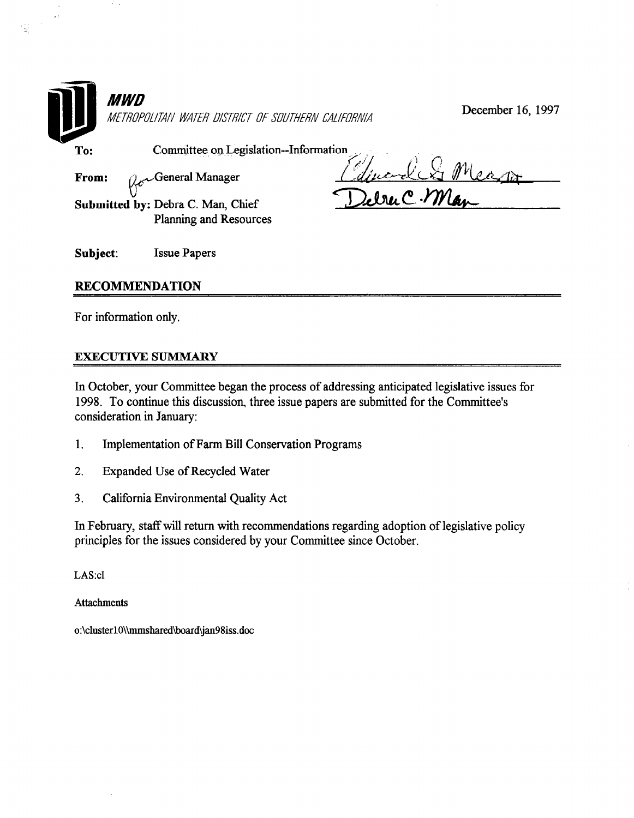

# RECOMMENDATION

For information only.

ᆽ

## EXECUTIVE SUMMARY

In October, your Committee began the process of addressing anticipated legislative issues for 1998. To continue this discussion, three issue papers are submitted for the Committee's consideration in January:

- 1. Implementation of Farm Bill Conservation Programs
- 2. Expanded Use of Recycled Water
- 3. California Environmental Quality Act

In February, staffwill return with recommendations regarding adoption of legislative policy principles for the issues considered by your Committee since October.

LAS:cl

Attachments

o:\clusterlO\\mmshared\board'jan98iss.doc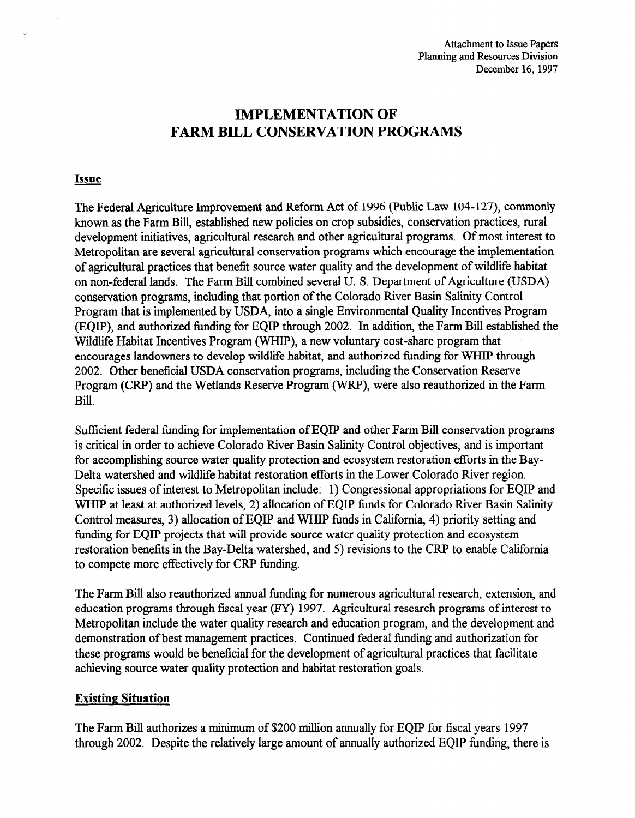# IMPLEMENTATION OF FARM BILL CONSERVATION PROGRAMS

### Issue

The Federal Agriculture Improvement and Reform Act of 1996 (Public Law 104-127), commonly known as the Farm Bill, established new policies on crop subsidies, conservation practices, rural development initiatives, agricultural research and other agricultural programs. Of most interest to Metropolitan are several agricultural conservation programs which encourage the implementation of agricultural practices that benefit source water quality and the development of wildlife habitat on non-federal lands. The Farm Bill combined several U. S. Department of Agriculture (USDA) conservation programs, including that portion of the Colorado River Basin Salinity Control Program that is implemented by USDA, into a single Environmental Quality Incentives Program (EQIP), and authorized funding for EQIP through 2002. In addition, the Farm Bill established the Wildlife Habitat Incentives Program (WHIP), a new voluntary cost-share program that encourages landowners to develop wildlife habitat, and authorized funding for WHIP through 2002. Other beneficial USDA conservation programs, including the Conservation Reserve Program (CRP) and the Wetlands Reserve Program (WRP), were also reauthorized in the Farm Bill.

 $S = S \cdot \frac{1}{2} S \cdot \frac{1}{2} S \cdot \frac{1}{2} S \cdot \frac{1}{2} S \cdot \frac{1}{2} S \cdot \frac{1}{2} S \cdot \frac{1}{2} S \cdot \frac{1}{2} S \cdot \frac{1}{2} S \cdot \frac{1}{2} S \cdot \frac{1}{2} S \cdot \frac{1}{2} S \cdot \frac{1}{2} S \cdot \frac{1}{2} S \cdot \frac{1}{2} S \cdot \frac{1}{2} S \cdot \frac{1}{2} S \cdot \frac{1}{2} S \cdot \frac{1}{2} S \cdot \frac{1}{2} S \cdot \frac{1}{2} S \cdot \frac{1}{$ sufficient federal funding for implementation of EQT and other Parin Bill conservation progra is critical in order to achieve Colorado River Basin Salinity Control objectives, and is important for accomplishing source water quality protection and ecosystem restoration efforts in the Bay-Delta watershed and wildlife habitat restoration efforts in the Lower Colorado River region. Specific issues of interest to Metropolitan include: 1) Congressional appropriations for EQIP and WHIP at least at authorized levels, 2) allocation of EQIP funds for Colorado River Basin Salinity Control measures, 3) allocation of EQIP and WHIP funds in California, 4) priority setting and funding for EQIP projects that will provide source water quality protection and ecosystem restoration benefits in the Bay-Delta watershed, and 5) revisions to the CRP to enable California<br>to compete more effectively for CRP funding.

The Farm Bill also reauthorized annual funding for numerous agricultural research, extension, and education programs through fiscal year (FY) 1997. Agricultural research programs of interest to Metropolitan include the water quality research and education program, and the development and demonstration of best management practices. Continued federal funding and authorization for these programs would be beneficial for the development of agricultural practices that facilitate achieving source water quality protection and habitat restoration goals.

## **Existing Situation**

The Farm Bill authorizes a minimum of \$200 million annually for EQIP for fiscal years 1997 through 2002. Despite the relatively large amount of annually authorized EOIP funding, there is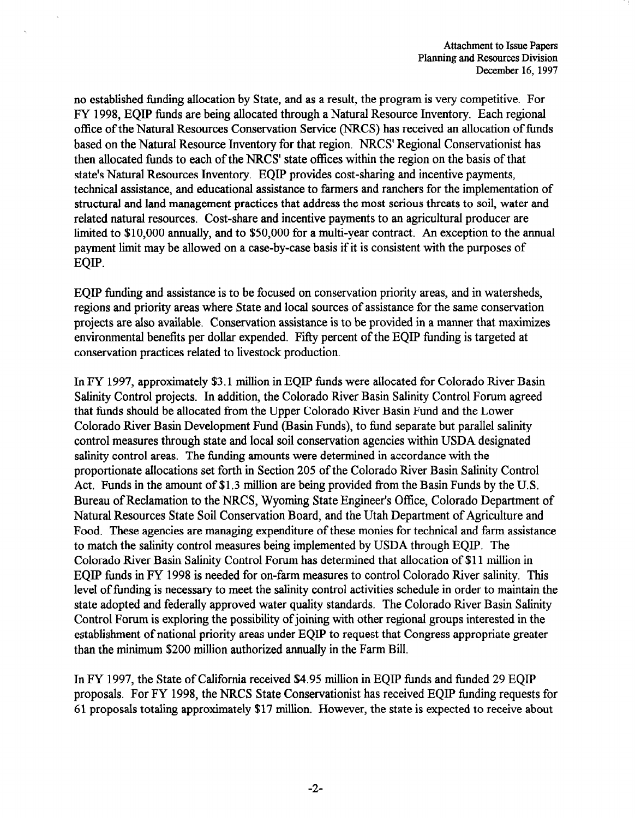no established funding allocation by State, and as a result, the program is very competitive. For FY 1998, EQIP funds are being allocated through a Natural Resource Inventory. Each regional office of the Natural Resources Conservation Service (NRCS) has received an allocation of funds based on the Natural Resource Inventory for that region. NRCS' Regional Conservationist has then allocated funds to each of the NRCS' state offices within the region on the basis of that state's Natural Resources Inventory. EQIP provides cost-sharing and incentive payments, technical assistance, and educational assistance to farmers and ranchers for the implementation of structural and land management practices that address the most serious threats to soil, water and related natural resources. Cost-share and incentive payments to an agricultural producer are limited to \$10,000 annually, and to \$50,000 for a multi-year contract. An exception to the annual payment limit may be allowed on a case-by-case basis if it is consistent with the purposes of EQIP.

EQIP funding and assistance is to be focused on conservation priority areas, and in watersheds, regions and priority areas where State and local sources of assistance for the same conservation projects are also available. Conservation assistance is to be provided in a manner that maximizes environmental benefits per dollar expended. Fifty percent of the EQP funding is targeted at conservation practices related to livestock production.

In FY 1997, approximately \$3.1 million in EQIP funds were allocated for Colorado River Basin Salinity Control projects. In addition, the Colorado River Basin Salinity Control Forum agreed that funds should be allocated from the Upper Colorado River Basin Fund and the Lower Colorado River Basin Tune encoded and the Colorado River Basin Fund and the Lower colorado KIVCI Dasin Development rund (Dasin Funds), to fund separate out paraner saminy control measures through state and local soil conservation agencies within USDA designated salinity control areas. The funding amounts were determined in accordance with the proportionate allocations set forth in Section 205 of the Colorado River Basin Salinity Control Act. Funds in the amount of \$1.3 million are being provided from the Basin Funds by the U.S. Bureau of Reclamation to the NRCS, Wyoming State Engineer's Office, Colorado Department of Natural Resources State Soil Conservation Board, and the Utah Department of Agriculture and Food. These agencies are managing expenditure of these monies for technical and farm assistance to match the salinity control measures being implemented by USDA through EOIP. The Colorado River Basin Salinity Control Forum has determined that allocation of \$11 million in EOIP funds in FY 1998 is needed for on-farm measures to control Colorado River salinity. This level of funding is necessary to meet the salinity control activities schedule in order to maintain the state adopted and federally approved water quality standards. The Colorado River Basin Salinity Control Forum is exploring the possibility of joining with other regional groups interested in the establishment of national priority areas under EQIP to request that Congress appropriate greater than the minimum \$200 million authorized annually in the Farm Bill.

In FY 1997, the State of California received \$4.95 million in EQIP funds and funded 29 EQIP proposals. For FY 1998, the NRCS State Conservationist has received EOIP funding requests for 61 proposals totaling approximately \$17 million. However, the state is expected to receive about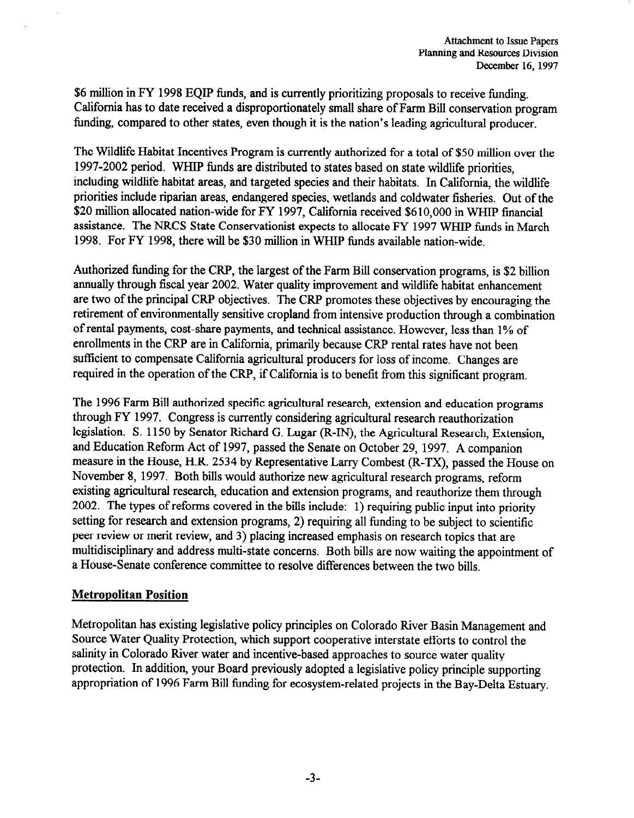\$6 million in FY 1998 EQIP funds, and is currently prioritizing proposals to receive funding. California has to date received a disproportionately small share of Farm Bill conservation program funding, compared to other states, even though it is the nation's leading agricultural producer.

The Wildlife Habitat Incentives Program is currently authorized for a total of \$50 million over the 1997-2002 period. WHIP funds are distributed to states based on state wildlife priorities, including wildlife habitat areas, and targeted species and their habitats. In California, the wildlife priorities include riparian areas, endangered species, wetlands and coldwater fisheries. Out of the \$20 million allocated nation-wide for FY 1997, California received \$610,000 in WHIP financial assistance. The NRCS State Conservationist expects to allocate FY 1997 WHIP funds in March 1998. For FY 1998, there will be \$30 million in WHIP funds available nation-wide.

Authorized funding for the CRP, the largest of the Farm Bill conservation programs, is \$2 billion annually through fiscal year 2002. Water quality improvement and wildlife habitat enhancement are two of the principal CRP objectives. The CRP promotes these objectives by encouraging the retirement of environmentally sensitive cropland from intensive production through a combination of rental payments, cost-share payments, and technical assistance. However, less than 1% of enrollments in the CRP are in California, primarily because CRP rental rates have not been sufficient to compensate California agricultural producers for loss of income. Changes are required in the operation of the CRP, if California is to benefit from this significant program.

The 1996 Farm Bill authorized specific agricultural research, extension and education programs through FY 1997. Congress is currently considering agricultural research reauthorization legislation. S. 1150 by Senator Richard G. Lugar (R-IN), the Agricultural Research, Extension, and Education Reform Act of 1997, passed the Senate on October 29, 1997. A companion measure in the House, H.R. 2534 by Representative Larry Combest (R-TX), passed the House on November 8, 1997. Both bills would authorize new agricultural research programs, reform existing agricultural research, education and extension programs, and reauthorize them through 2002. The types of reforms covered in the bills include: 1) requiring public input into priority setting for research and extension programs, 2) requiring all funding to be subject to scientific peer review or merit review, and 3) placing increased emphasis on research topics that are multidisciplinary and address multi-state concerns. Both bills are now waiting the appointment of a House-Senate conference committee to resolve differences between the two bills.

# Metropolitan Position

Metropolitan has existing legislative policy principles on Colorado River Basin Management and Source Water Quality Protection, which support cooperative interstate efforts to control the salinity in Colorado River water and incentive-based approaches to source water quality protection. In addition, your Board previously adopted a legislative policy principle supporting appropriation of 1996 Farm Bill funding for ecosystem-related projects in the Bay-Delta Estuary.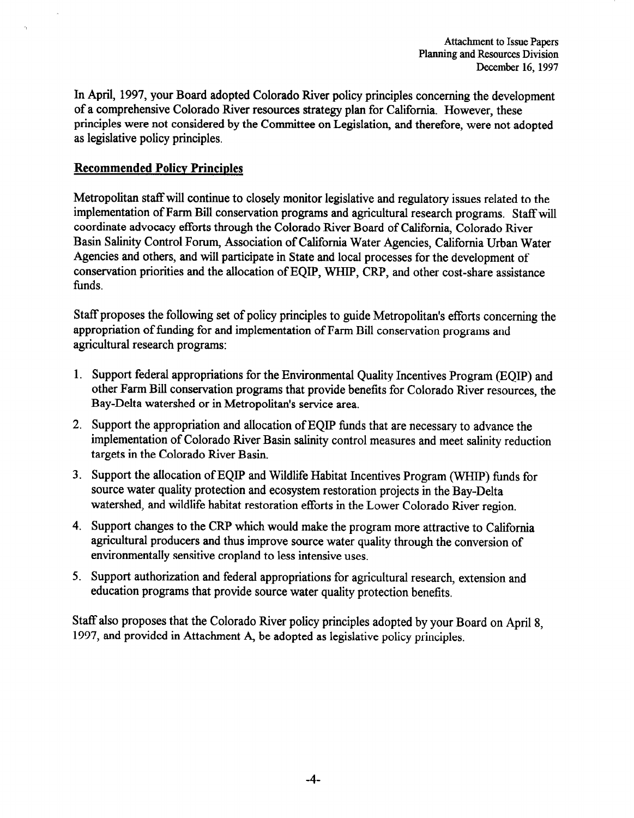In April, 1997, your Board adopted Colorado River policy principles concerning the development of a comprehensive Colorado River resources strategy plan for California. However, these principles were not considered by the Committee on Legislation, and therefore, were not adopted as legislative policy principles.

# Recommended Policy Principles

Metropolitan staff will continue to closely monitor legislative and regulatory issues related to the implementation of Farm Bill conservation programs and agricultural research programs. Staffwill coordinate advocacy efforts through the Colorado River Board of California, Colorado River Basin Salinity Control Forum, Association of California Water Agencies, California Urban Water Agencies and others, and will participate in State and local processes for the development of conservation priorities and the allocation of EQIP, WHIP, CRP, and other cost-share assistance funds.

Staff proposes the following set of policy principles to guide Metropolitan's efforts concerning the appropriation of funding for and implementation of Farm Bill conservation programs and agricultural research programs:

- 1. Support federal appropriations for the Environmental Quality Incentives Program (EQIP) and other Farm Bill conservation programs that provide benefits for Colorado River resources, the Bay-Delta watershed or in Metropolitan's service area.
- 2. Support the appropriation and allocation of EQIP funds that are necessary to advance the implementation of Colorado River Basin salinity control measures and meet salinity reduction targets in the Colorado River Basin.
- 3. Support the allocation of EQIP and Wildlife Habitat Incentives Program (WHIP) funds for source water quality protection and ecosystem restoration projects in the Bay-Delta watershed, and wildlife habitat restoration efforts in the Lower Colorado River region.
- 4. Support changes to the CRP which would make the program more attractive to California agricultural producers and thus improve source water quality through the conversion of environmentally sensitive cropland to less intensive uses.
- 5. Support authorization and federal appropriations for agricultural research, extension and education programs that provide source water quality protection benefits.

Staff also proposes that the Colorado River policy principles adopted by your Board on April 8, 1997, and provided in Attachment A, be adopted as legislative policy principles.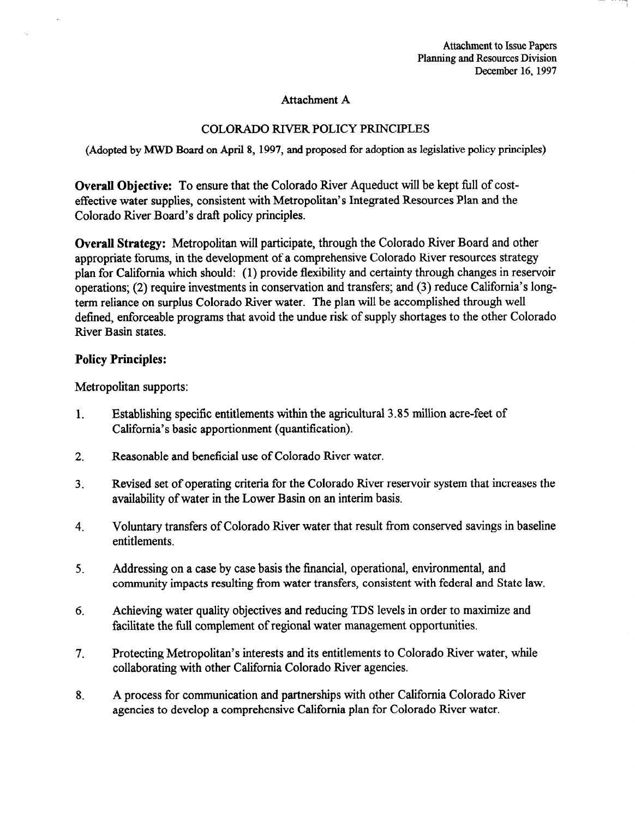## Attachment A

# COLORADO RIVER POLICY PRINCIPLES

(Adopted by MWJI Board on April 8, 1997, and proposed for adoption as legislative policy principles)

Overall Objective: To ensure that the Colorado River Aqueduct will be kept full of costeffective water supplies, consistent with Metropolitan's Integrated Resources Plan and the Colorado River Board's draft policy principles.

Overall Strategy: Metropolitan will participate, through the Colorado River Board and other appropriate forums, in the development of a comprehensive Colorado River resources strategy plan for California which should: (1) provide flexibility and certainty through changes in reservoir operations; (2) require investments in conservation and transfers; and (3) reduce California's longterm reliance on surplus Colorado River water. The plan will be accomplished through well defined, enforceable programs that avoid the undue risk of supply shortages to the other Colorado River Basin states.

## Policy Principles:

Metropolitan supports:

- 1. Establishing specific entitlements within the agricultural 3.85 million acre-feet of California's basic apportionment (quantification).
- 2. Reasonable and beneficial use of Colorado River water.
- 3. Revised set of operating criteria for the Colorado River reservoir system that increases the Revised set of operating criteria for the Colorado Kiver rese
- 4. voluntary tr
- Addressing on a case by case basis the financial, operational, environmental, and community impacts resulting from water transfers, consistent with federal and State law.
- Achieving water quality objectives and reducing TDS levels in order to maximize and facilitate the full complement of regional water management opportunities.
- $7<sub>1</sub>$ Protecting Metropolitan's interests and its entitlements to Colorado River water, while collaborating with other California Colorado River agencies.
- $8<sub>1</sub>$ A process for communication and partnerships with other California Colorado River. agencies to develop a comprehensive California plan for Colorado River water.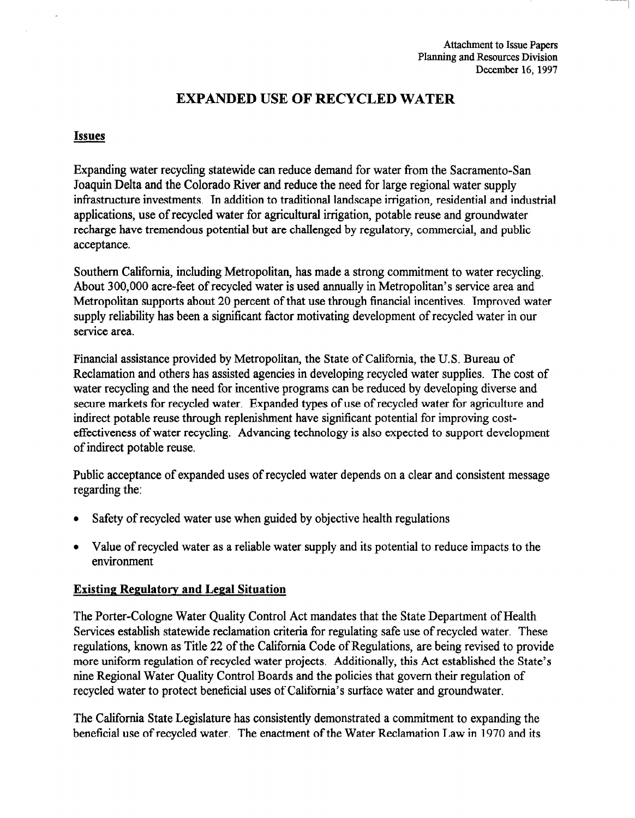# EXPANDED USE OF RECYCLED WATER

# Issues

Expanding water recycling statewide can reduce demand for water from the Sacramento-San Joaquin Delta and the Colorado River and reduce the need for large regional water supply infrastructure investments. In addition to traditional landscape irrigation, residential and industrial applications, use of recycled water for agricultural irrigation, potable reuse and groundwater recharge have tremendous potential but are challenged by regulatory, commercial, and public acceptance.

Southern California, including Metropolitan, has made a strong commitment to water recycling. About 300,000 acre-feet of recycled water is used annually in Metropolitan's service area and Metropolitan supports about 20 percent of that use through financial incentives, Improved water supply reliability has been a significant factor motivating development of recycled water in our service area.

Financial assistance provided by Metropolitan, the State of California, the U.S. Bureau of Reclamation and others has assisted agencies in developing recycled water supplies. The cost of water recycling and the need for incentive programs can be reduced by developing diverse and secure markets for recycled water. Expanded types of use of recycled water for agriculture and secure markets for recycled water. Expanded types of use of recycled water for agriculture munect potable reuse through replemantient have significant potential for improving costeffectiveness of water recycling. Advancing technology is also expected to support development of indirect potable reuse.

Public acceptance of expanded uses of recycled water depends on a clear and consistent message r ubilc accepta

- Safety of recycled water use when guided by objective health regulations
- Value of recycled water as a reliable water supply and its potential to reduce impacts to the environment  $\bullet$

The Porter-Cologne Water Quality Control Act mandates that the State Department of Health Services establish statewide reclamation criteria for regulating safe use of recycled water. These regulations, known as Title 22 of the California Code of Regulations, are being revised to provide more uniform regulation of recycled water projects. Additionally, this Act established the State's nine Regional Water Quality Control Boards and the policies that govern their regulation of recycled water to protect beneficial uses of California's surface water and groundwater.

The California State Legislature has consistently demonstrated a commitment to expanding the beneficial use of recycled water. The enactment of the Water Reclamation Law in 1970 and its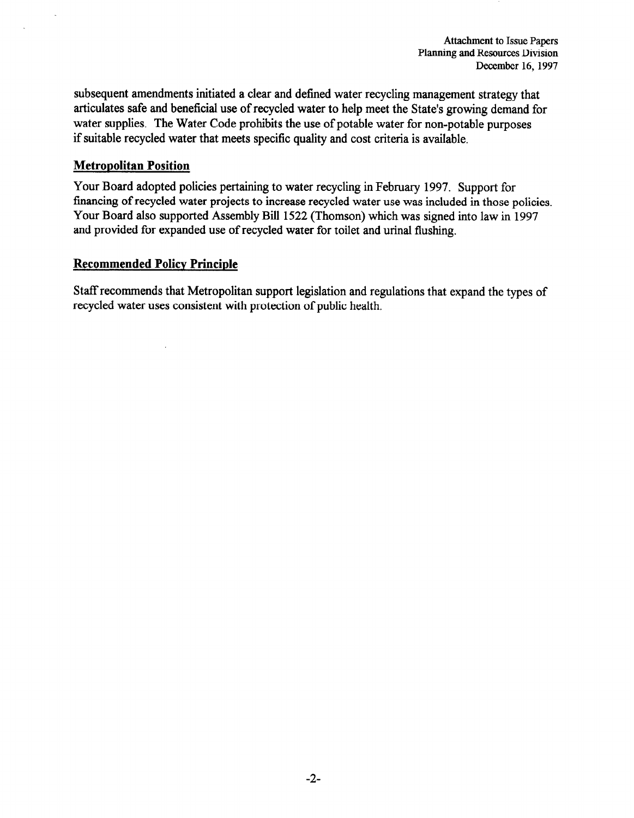subsequent amendments initiated a clear and defined water recycling management strategy that articulates safe and beneficial use of recycled water to help meet the State's growing demand for water supplies. The Water Code prohibits the use of potable water for non-potable purposes if suitable recycled water that meets specific quality and cost criteria is available.

# Metropolitan Position

Your Board adopted policies pertaining to water recycling in February 1997. Support for financing of recycled water projects to increase recycled water use was included in those policies. Your Board also supported Assembly Bill 1522 (Thomson) which was signed into law in 1997 and provided for expanded use of recycled water for toilet and urinal flushing.

# Recommended Policy Principle

Staff recommends that Metropolitan support legislation and regulations that expand the types of recycled water uses consistent with protection of public health.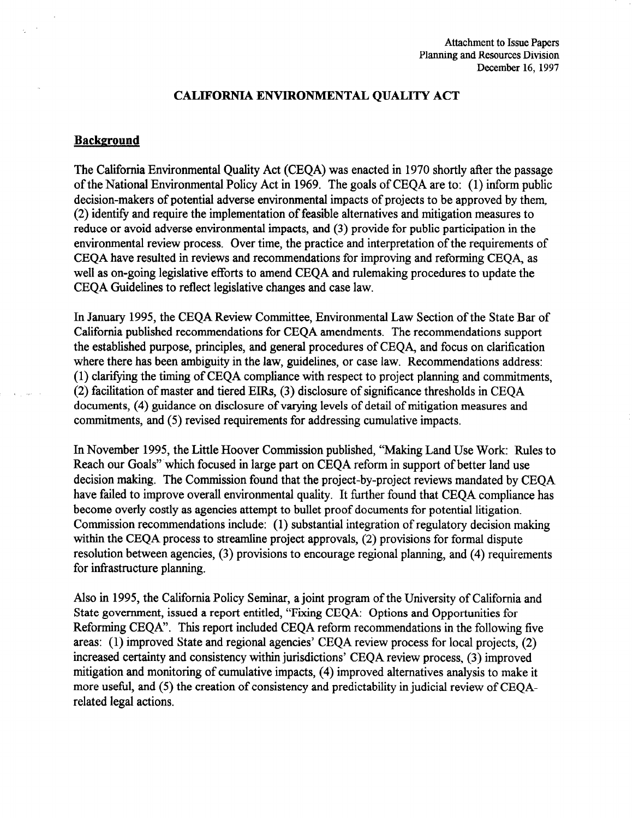## CALIFORNIA ENVIRONMENTAL QUALITY ACT

## Background

The California Environmental Quality Act (CEQA) was enacted in 1970 shortly afler the passage of the National Environmental Policy Act in 1969. The goals of CEQA are to: (1) inform public decision-makers of potential adverse environmental impacts of projects to be approved by them, (2) identify and require the implementation of feasible alternatives and mitigation measures to reduce or avoid adverse environmental impacts, and (3) provide for public participation in the environmental review process. Over time, the practice and interpretation of the requirements of CEQA have resulted in reviews and recommendations for improving and reforming CEQA, as well as on-going legislative efforts to amend CEQA and rulemaking procedures to update the CEQA Guidelines to reflect legislative changes and case law.

In January 1995, the CEQA Review Committee, Environmental Law Section of the State Bar of California published recommendations for CEQA amendments. The recommendations support the established purpose, principles, and general procedures of CEQA, and focus on clarification where there has been ambiguity in the law, guidelines, or case law. Recommendations address: (1) clarifying the timing of CEQA compliance with respect to project planning and commitments, (2) facilitation of master and tiered EIRs, (3) disclosure of significance thresholds in CEQA documents, (4) guidance on disclosure of varying levels of detail of mitigation measures and commitments, and (5) revised requirements for addressing cumulative impacts.

In November 1995, the Little Hoover Commission published, "Making Land Use Work: Rules to Reach our Goals" which focused in large part on CEQA reform in support of better land use decision making. The Commission found that the project-by-project reviews mandated by CEQA have failed to improve overall environmental quality. It further found that CEQA compliance has become overly costly as agencies attempt to bullet proof documents for potential litigation. Commission recommendations include: (1) substantial integration of regulatory decision making within the CEQA process to streamline project approvals, (2) provisions for formal dispute resolution between agencies, (3) provisions to encourage regional planning, and (4) requirements for infrastructure planning.

Also in 1995, the California Policy Seminar, a joint program of the University of California and State government, issued a report entitled, "Fixing CEQA: Options and Opportunities for Reforming CEQA". This report included CEQA reform recommendations in the following five areas: (1) improved State and regional agencies' CEQA review process for local projects, (2) increased certainty and consistency within jurisdictions' CEQA review process, (3) improved mitigation and monitoring of cumulative impacts, (4) improved alternatives analysis to make it more useful, and (5) the creation of consistency and predictability in judicial review of CEQArelated legal actions.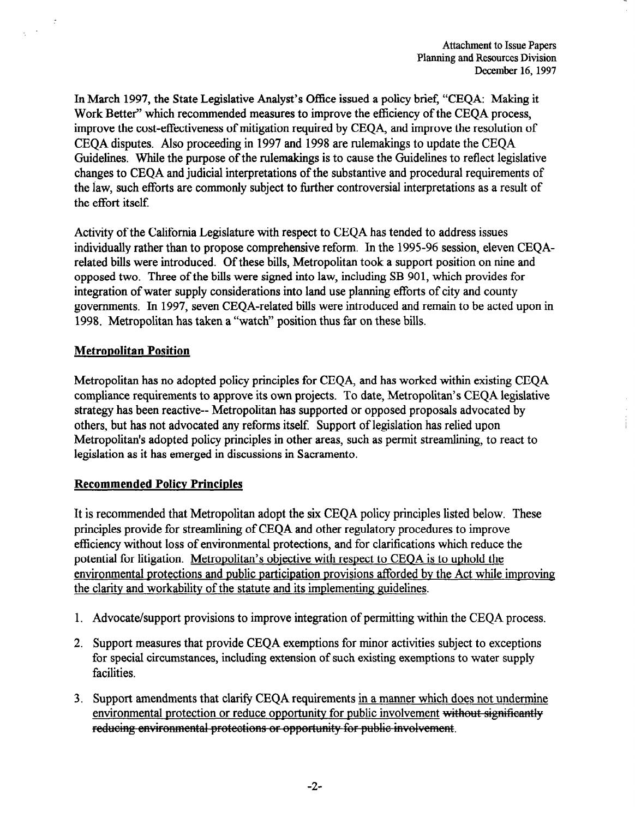In March 1997, the State Legislative Analyst's Office issued a policy brief, "CEQA: Making it Work Better" which recommended measures to improve the efficiency of the CEQA process, improve the cost-effectiveness of mitigation required by CEQA, and improve the resolution of CEQA disputes. Also proceeding in 1997 and 1998 are rulemakings to update the CEQA Guidelines. While the purpose of the rulemakings is to cause the Guidelines to reflect legislative changes to CEQA and judicial interpretations of the substantive and procedural requirements of the iaw, such efforts are commonly subject to further controversial interpretations as a result of the effort itself.

Activity of the California Legislature with respect to CEQA has tended to address issues individually rather than to propose comprehensive reform. In the 1995-96 session, eleven CEQArelated bills were introduced. Of these bills, Metropolitan took a support position on nine and opposed two. Three of the bills were signed into law, including SB 901, which provides for integration of water supply considerations into land use planning efforts of city and county governments. In 1997, seven CEQA-related bills were introduced and remain to be acted upon in 1998. Metropolitan has taken a "watch" position thus far on these bills.

# Metropolitan Position

 $\sqrt{\beta}$ 

Metropolitan has no adopted policy principles for CEQA, and has worked within existing CEQA compliance requirements to approve its own projects. To date, Metropolitan's CEQA legislative somphanee requirements to approve its own projects. To date, incereponium s experience strategy has been reactive-- ivicioponian has supported or opposed proposals advocate others, but has not advocated any reforms itself. Support of legislation has relied upon Metropolitan's adopted policy principles in other areas, such as permit streamlining, to react to legislation as it has emerged in discussions in Sacramento.

## Recommended Policv Principles

It is recommended that Metropolitan adopt the six CEQA policy principles listed below. These  $\mu$  is recommended that interropolitan adopt the six CEQA policy principles fisted below. principles provide for streamlining of CEQA and other regulatory procedures to improve efficiency without loss of environmental protections, and for clarifications which reduce the potential for litigation. Metropolitan's objective with respect to CEQA is to uphold the environmental protections and public participation provisions afforded by the Act while improving the clarity and workability of the statute and its implementing guidelines.

- 1. Advocate/support provisions to improve integration of permitting within the CEOA process.
- 2. Support measures that provide CEQA exemptions for minor activities subject to exceptions for special circumstances, including extension of such existing exemptions to water supply facilities.
- 3. Support amendments that clarify CEQA requirements in a manner which does not undermine environmental protection or reduce opportunity for public involvement without significantly reducing environmental protections or opportunity for public involvement.